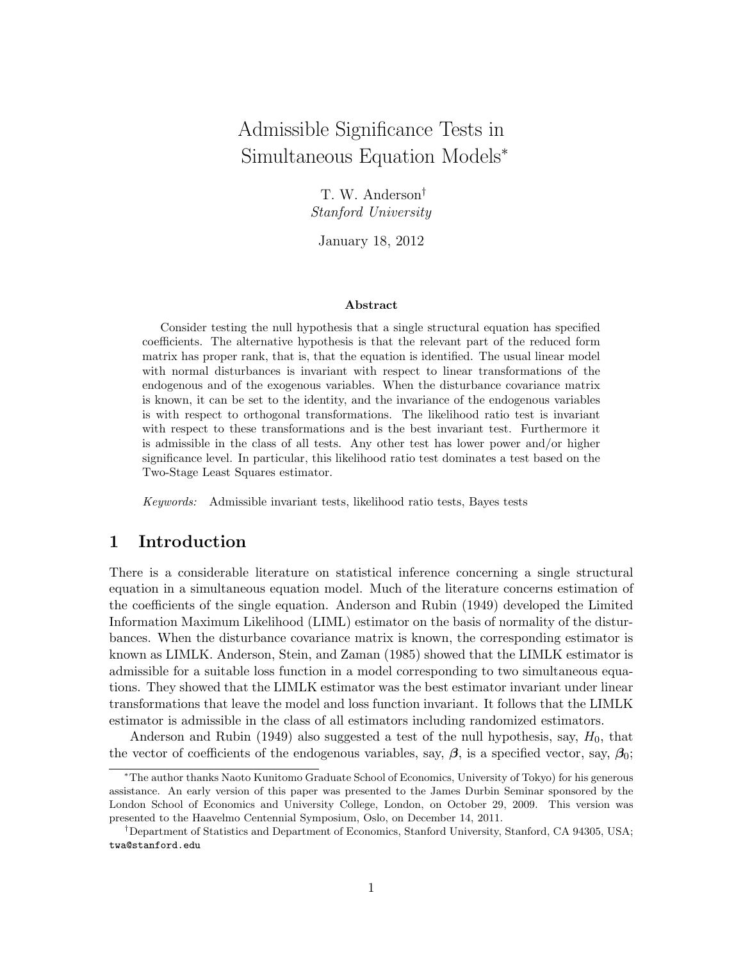# Admissible Significance Tests in Simultaneous Equation Models<sup>∗</sup>

T. W. Anderson† Stanford University

January 18, 2012

#### Abstract

Consider testing the null hypothesis that a single structural equation has specified coefficients. The alternative hypothesis is that the relevant part of the reduced form matrix has proper rank, that is, that the equation is identified. The usual linear model with normal disturbances is invariant with respect to linear transformations of the endogenous and of the exogenous variables. When the disturbance covariance matrix is known, it can be set to the identity, and the invariance of the endogenous variables is with respect to orthogonal transformations. The likelihood ratio test is invariant with respect to these transformations and is the best invariant test. Furthermore it is admissible in the class of all tests. Any other test has lower power and/or higher significance level. In particular, this likelihood ratio test dominates a test based on the Two-Stage Least Squares estimator.

Keywords: Admissible invariant tests, likelihood ratio tests, Bayes tests

# 1 Introduction

There is a considerable literature on statistical inference concerning a single structural equation in a simultaneous equation model. Much of the literature concerns estimation of the coefficients of the single equation. Anderson and Rubin (1949) developed the Limited Information Maximum Likelihood (LIML) estimator on the basis of normality of the disturbances. When the disturbance covariance matrix is known, the corresponding estimator is known as LIMLK. Anderson, Stein, and Zaman (1985) showed that the LIMLK estimator is admissible for a suitable loss function in a model corresponding to two simultaneous equations. They showed that the LIMLK estimator was the best estimator invariant under linear transformations that leave the model and loss function invariant. It follows that the LIMLK estimator is admissible in the class of all estimators including randomized estimators.

Anderson and Rubin (1949) also suggested a test of the null hypothesis, say,  $H_0$ , that the vector of coefficients of the endogenous variables, say,  $\beta$ , is a specified vector, say,  $\beta_0$ ;

<sup>∗</sup>The author thanks Naoto Kunitomo Graduate School of Economics, University of Tokyo) for his generous assistance. An early version of this paper was presented to the James Durbin Seminar sponsored by the London School of Economics and University College, London, on October 29, 2009. This version was presented to the Haavelmo Centennial Symposium, Oslo, on December 14, 2011.

<sup>†</sup>Department of Statistics and Department of Economics, Stanford University, Stanford, CA 94305, USA; twa@stanford.edu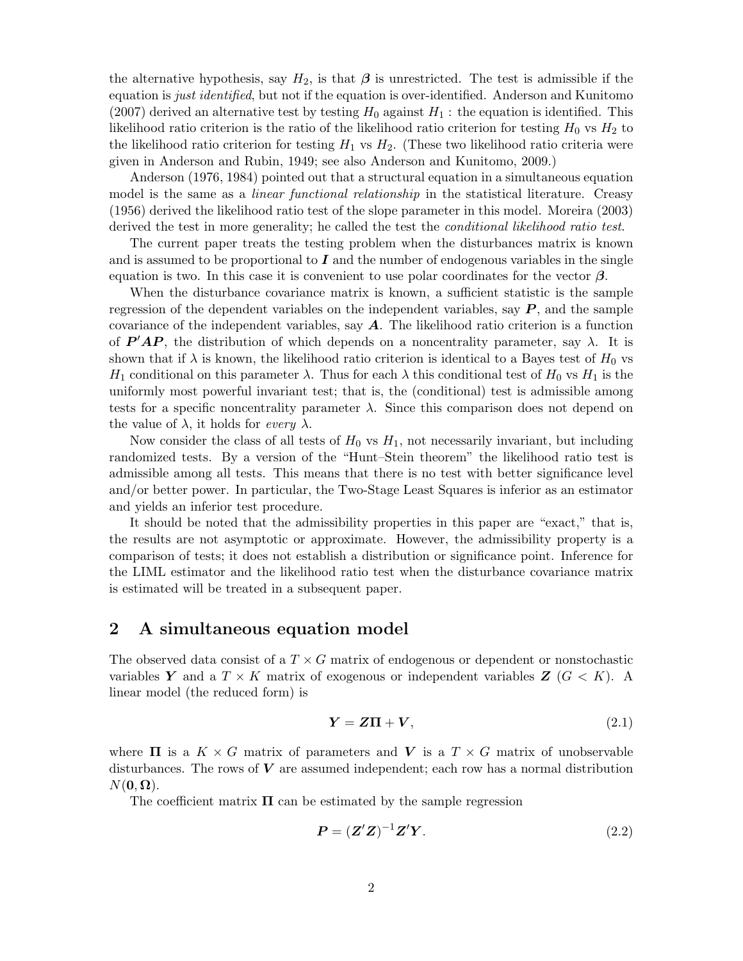the alternative hypothesis, say  $H_2$ , is that  $\beta$  is unrestricted. The test is admissible if the equation is *just identified*, but not if the equation is over-identified. Anderson and Kunitomo (2007) derived an alternative test by testing  $H_0$  against  $H_1$ : the equation is identified. This likelihood ratio criterion is the ratio of the likelihood ratio criterion for testing  $H_0$  vs  $H_2$  to the likelihood ratio criterion for testing  $H_1$  vs  $H_2$ . (These two likelihood ratio criteria were given in Anderson and Rubin, 1949; see also Anderson and Kunitomo, 2009.)

Anderson (1976, 1984) pointed out that a structural equation in a simultaneous equation model is the same as a *linear functional relationship* in the statistical literature. Creasy (1956) derived the likelihood ratio test of the slope parameter in this model. Moreira (2003) derived the test in more generality; he called the test the *conditional likelihood ratio test*.

The current paper treats the testing problem when the disturbances matrix is known and is assumed to be proportional to  $I$  and the number of endogenous variables in the single equation is two. In this case it is convenient to use polar coordinates for the vector  $\beta$ .

When the disturbance covariance matrix is known, a sufficient statistic is the sample regression of the dependent variables on the independent variables, say  $P$ , and the sample covariance of the independent variables, say  $A$ . The likelihood ratio criterion is a function of  $P'AP$ , the distribution of which depends on a noncentrality parameter, say  $\lambda$ . It is shown that if  $\lambda$  is known, the likelihood ratio criterion is identical to a Bayes test of  $H_0$  vs  $H_1$  conditional on this parameter  $\lambda$ . Thus for each  $\lambda$  this conditional test of  $H_0$  vs  $H_1$  is the uniformly most powerful invariant test; that is, the (conditional) test is admissible among tests for a specific noncentrality parameter  $\lambda$ . Since this comparison does not depend on the value of  $\lambda$ , it holds for every  $\lambda$ .

Now consider the class of all tests of  $H_0$  vs  $H_1$ , not necessarily invariant, but including randomized tests. By a version of the "Hunt–Stein theorem" the likelihood ratio test is admissible among all tests. This means that there is no test with better significance level and/or better power. In particular, the Two-Stage Least Squares is inferior as an estimator and yields an inferior test procedure.

It should be noted that the admissibility properties in this paper are "exact," that is, the results are not asymptotic or approximate. However, the admissibility property is a comparison of tests; it does not establish a distribution or significance point. Inference for the LIML estimator and the likelihood ratio test when the disturbance covariance matrix is estimated will be treated in a subsequent paper.

# 2 A simultaneous equation model

The observed data consist of a  $T \times G$  matrix of endogenous or dependent or nonstochastic variables Y and a  $T \times K$  matrix of exogenous or independent variables  $Z(G \lt K)$ . A linear model (the reduced form) is

$$
Y = Z\Pi + V, \tag{2.1}
$$

where  $\Pi$  is a  $K \times G$  matrix of parameters and V is a  $T \times G$  matrix of unobservable disturbances. The rows of  $V$  are assumed independent; each row has a normal distribution  $N(\mathbf{0}, \mathbf{\Omega}).$ 

The coefficient matrix  $\Pi$  can be estimated by the sample regression

$$
\boldsymbol{P} = (\boldsymbol{Z}'\boldsymbol{Z})^{-1}\boldsymbol{Z}'\boldsymbol{Y}.\tag{2.2}
$$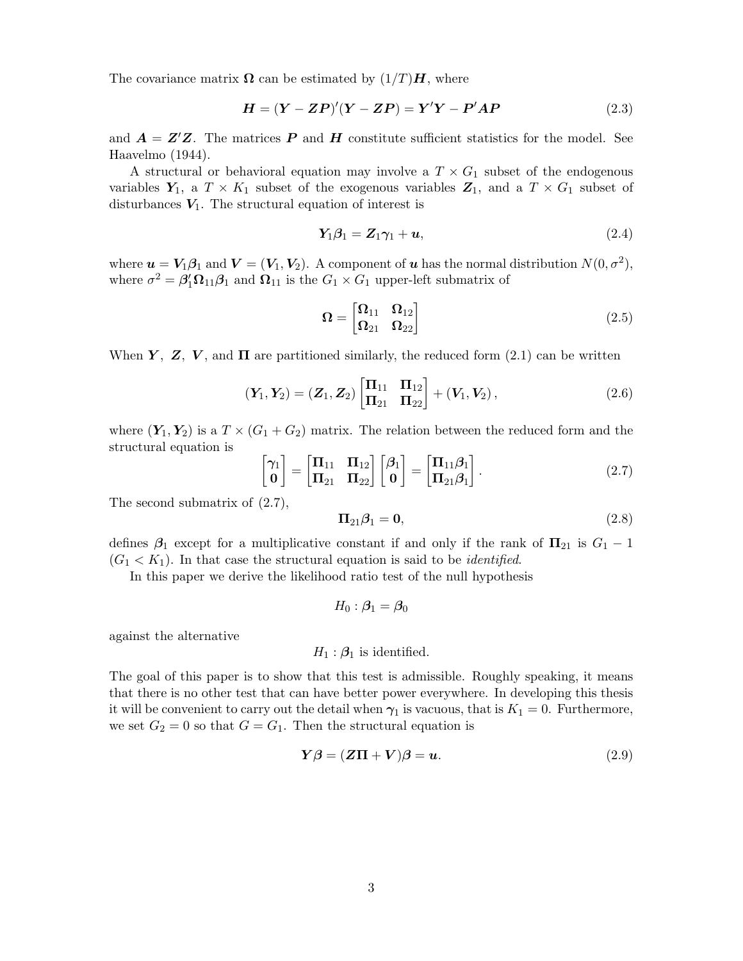The covariance matrix  $\Omega$  can be estimated by  $(1/T)H$ , where

$$
H = (Y - ZP)'(Y - ZP) = Y'Y - P'AP
$$
\n(2.3)

and  $\mathbf{A} = \mathbf{Z}'\mathbf{Z}$ . The matrices **P** and **H** constitute sufficient statistics for the model. See Haavelmo (1944).

A structural or behavioral equation may involve a  $T \times G_1$  subset of the endogenous variables  $Y_1$ , a  $T \times K_1$  subset of the exogenous variables  $Z_1$ , and a  $T \times G_1$  subset of disturbances  $V_1$ . The structural equation of interest is

$$
Y_1\beta_1 = Z_1\gamma_1 + u,\tag{2.4}
$$

where  $u = V_1 \beta_1$  and  $V = (V_1, V_2)$ . A component of u has the normal distribution  $N(0, \sigma^2)$ , where  $\sigma^2 = \beta_1^{\prime} \Omega_{11} \beta_1$  and  $\Omega_{11}$  is the  $G_1 \times G_1$  upper-left submatrix of

$$
\Omega = \begin{bmatrix} \Omega_{11} & \Omega_{12} \\ \Omega_{21} & \Omega_{22} \end{bmatrix} \tag{2.5}
$$

When Y, Z, V, and  $\Pi$  are partitioned similarly, the reduced form (2.1) can be written

$$
(\mathbf{Y}_1, \mathbf{Y}_2) = (\mathbf{Z}_1, \mathbf{Z}_2) \begin{bmatrix} \mathbf{\Pi}_{11} & \mathbf{\Pi}_{12} \\ \mathbf{\Pi}_{21} & \mathbf{\Pi}_{22} \end{bmatrix} + (\mathbf{V}_1, \mathbf{V}_2), \tag{2.6}
$$

where  $(Y_1, Y_2)$  is a  $T \times (G_1 + G_2)$  matrix. The relation between the reduced form and the structural equation is

$$
\begin{bmatrix} \gamma_1 \\ \mathbf{0} \end{bmatrix} = \begin{bmatrix} \mathbf{\Pi}_{11} & \mathbf{\Pi}_{12} \\ \mathbf{\Pi}_{21} & \mathbf{\Pi}_{22} \end{bmatrix} \begin{bmatrix} \beta_1 \\ \mathbf{0} \end{bmatrix} = \begin{bmatrix} \mathbf{\Pi}_{11} \beta_1 \\ \mathbf{\Pi}_{21} \beta_1 \end{bmatrix} .
$$
 (2.7)

The second submatrix of (2.7),

$$
\Pi_{21}\beta_1 = \mathbf{0},\tag{2.8}
$$

defines  $\beta_1$  except for a multiplicative constant if and only if the rank of  $\Pi_{21}$  is  $G_1 - 1$  $(G_1 < K_1)$ . In that case the structural equation is said to be *identified*.

In this paper we derive the likelihood ratio test of the null hypothesis

$$
H_0: \boldsymbol{\beta}_1 = \boldsymbol{\beta}_0
$$

against the alternative

$$
H_1: \mathcal{B}_1
$$
 is identified.

The goal of this paper is to show that this test is admissible. Roughly speaking, it means that there is no other test that can have better power everywhere. In developing this thesis it will be convenient to carry out the detail when  $\gamma_1$  is vacuous, that is  $K_1 = 0$ . Furthermore, we set  $G_2 = 0$  so that  $G = G_1$ . Then the structural equation is

$$
\mathbf{Y}\boldsymbol{\beta} = (\mathbf{Z}\boldsymbol{\Pi} + \mathbf{V})\boldsymbol{\beta} = \mathbf{u}.\tag{2.9}
$$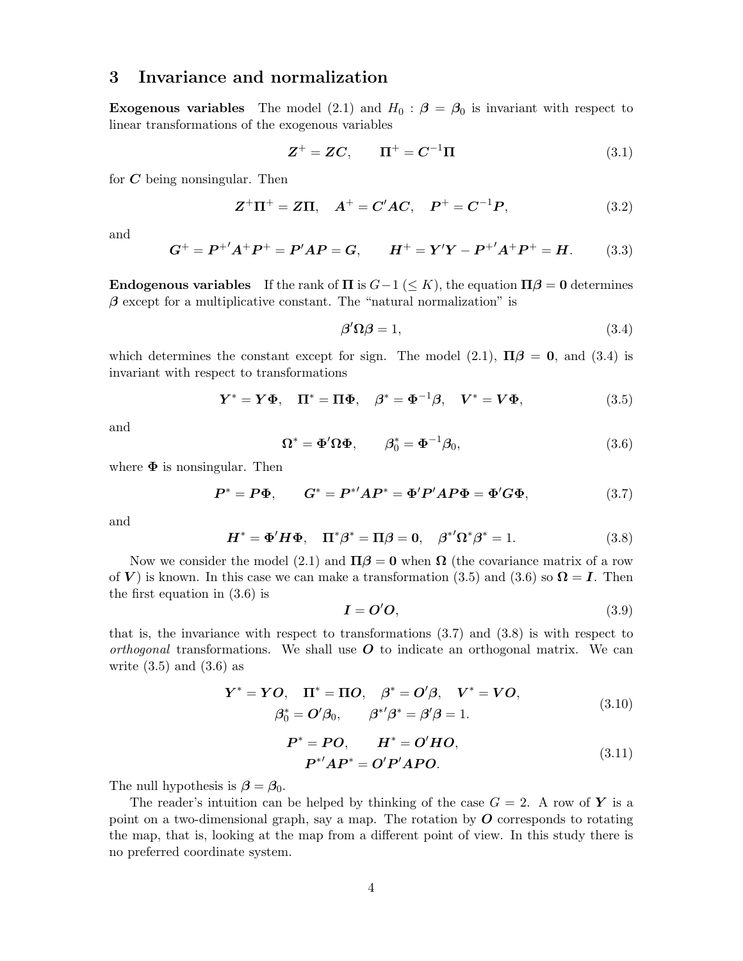# 3 Invariance and normalization

**Exogenous variables** The model (2.1) and  $H_0$ :  $\beta = \beta_0$  is invariant with respect to linear transformations of the exogenous variables

$$
\mathbf{Z}^+ = \mathbf{Z}\mathbf{C}, \qquad \mathbf{\Pi}^+ = \mathbf{C}^{-1}\mathbf{\Pi}
$$
\n(3.1)

for  $C$  being nonsingular. Then

$$
Z^{+}\Pi^{+} = Z\Pi, \quad A^{+} = C'AC, \quad P^{+} = C^{-1}P, \tag{3.2}
$$

and

$$
G^{+} = P^{+'}A^{+}P^{+} = P'AP = G, \qquad H^{+} = Y'Y - P^{+'}A^{+}P^{+} = H. \tag{3.3}
$$

**Endogenous variables** If the rank of  $\Pi$  is  $G-1 \leq K$ ), the equation  $\Pi\beta = 0$  determines  $\beta$  except for a multiplicative constant. The "natural normalization" is

$$
\beta' \Omega \beta = 1,\tag{3.4}
$$

which determines the constant except for sign. The model (2.1),  $\Pi \beta = 0$ , and (3.4) is invariant with respect to transformations

$$
\boldsymbol{Y}^* = \boldsymbol{Y\Phi}, \quad \boldsymbol{\Pi}^* = \boldsymbol{\Pi\Phi}, \quad \boldsymbol{\beta}^* = \boldsymbol{\Phi}^{-1}\boldsymbol{\beta}, \quad \boldsymbol{V}^* = \boldsymbol{V\Phi}, \tag{3.5}
$$

and

$$
\Omega^* = \Phi' \Omega \Phi, \qquad \beta_0^* = \Phi^{-1} \beta_0, \tag{3.6}
$$

where  $\Phi$  is nonsingular. Then

$$
P^* = P\Phi, \qquad G^* = P^{*'}AP^* = \Phi'P'AP\Phi = \Phi'G\Phi, \tag{3.7}
$$

and

$$
\boldsymbol{H}^* = \boldsymbol{\Phi}' \boldsymbol{H} \boldsymbol{\Phi}, \quad \boldsymbol{\Pi}^* \boldsymbol{\beta}^* = \boldsymbol{\Pi} \boldsymbol{\beta} = \boldsymbol{0}, \quad \boldsymbol{\beta}^{*'} \boldsymbol{\Omega}^* \boldsymbol{\beta}^* = 1. \tag{3.8}
$$

Now we consider the model (2.1) and  $\Pi \beta = 0$  when  $\Omega$  (the covariance matrix of a row of V) is known. In this case we can make a transformation (3.5) and (3.6) so  $\Omega = I$ . Then the first equation in (3.6) is

$$
I = O'O, \tag{3.9}
$$

that is, the invariance with respect to transformations (3.7) and (3.8) is with respect to *orthogonal* transformations. We shall use  $O$  to indicate an orthogonal matrix. We can write  $(3.5)$  and  $(3.6)$  as

$$
\mathbf{Y}^* = \mathbf{YO}, \quad \mathbf{\Pi}^* = \mathbf{\Pi}O, \quad \boldsymbol{\beta}^* = \mathbf{O}'\boldsymbol{\beta}, \quad \mathbf{V}^* = \mathbf{VO},
$$
  

$$
\boldsymbol{\beta}_0^* = \mathbf{O}'\boldsymbol{\beta}_0, \qquad \boldsymbol{\beta}^{*'}\boldsymbol{\beta}^* = \boldsymbol{\beta}'\boldsymbol{\beta} = 1.
$$
 (3.10)

$$
P^* = PO, \qquad H^* = O'HO,
$$
  

$$
P^{*'}AP^* = O'P'APO.
$$
 (3.11)

The null hypothesis is  $\beta = \beta_0$ .

The reader's intuition can be helped by thinking of the case  $G = 2$ . A row of Y is a point on a two-dimensional graph, say a map. The rotation by  $O$  corresponds to rotating the map, that is, looking at the map from a different point of view. In this study there is no preferred coordinate system.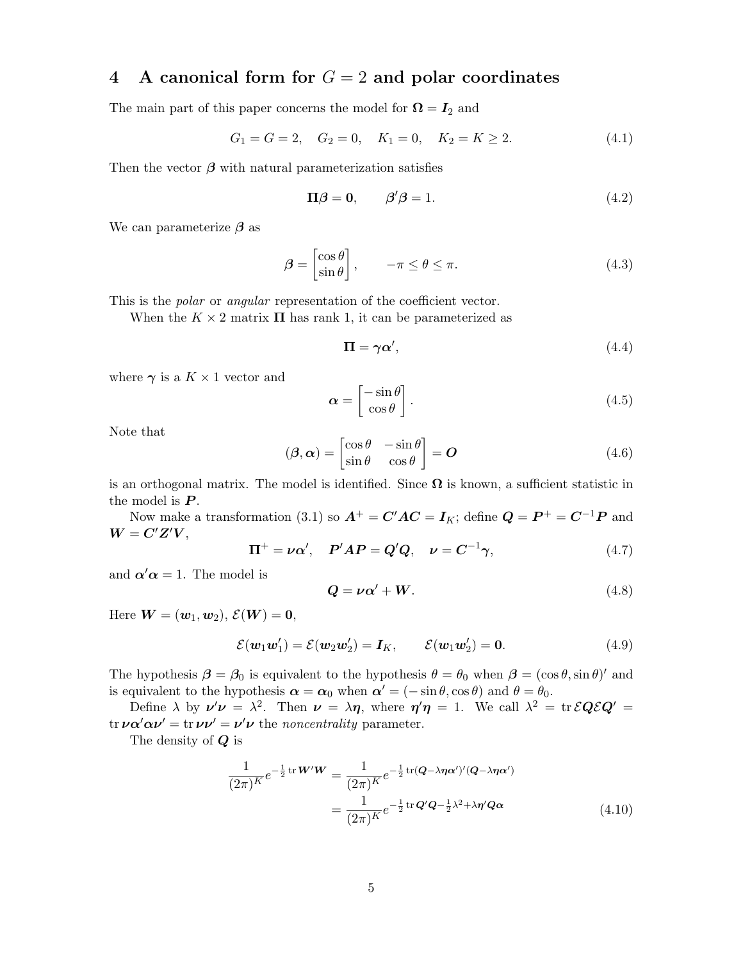# 4 A canonical form for  $G = 2$  and polar coordinates

The main part of this paper concerns the model for  $\Omega = I_2$  and

$$
G_1 = G = 2, \quad G_2 = 0, \quad K_1 = 0, \quad K_2 = K \ge 2. \tag{4.1}
$$

Then the vector  $\beta$  with natural parameterization satisfies

$$
\Pi \beta = 0, \qquad \beta' \beta = 1. \tag{4.2}
$$

We can parameterize  $\beta$  as

$$
\boldsymbol{\beta} = \begin{bmatrix} \cos \theta \\ \sin \theta \end{bmatrix}, \qquad -\pi \le \theta \le \pi. \tag{4.3}
$$

This is the *polar* or *angular* representation of the coefficient vector.

When the  $K \times 2$  matrix  $\Pi$  has rank 1, it can be parameterized as

$$
\Pi = \gamma \alpha',\tag{4.4}
$$

where  $\gamma$  is a  $K \times 1$  vector and

$$
\boldsymbol{\alpha} = \begin{bmatrix} -\sin \theta \\ \cos \theta \end{bmatrix} . \tag{4.5}
$$

Note that

$$
(\boldsymbol{\beta}, \boldsymbol{\alpha}) = \begin{bmatrix} \cos \theta & -\sin \theta \\ \sin \theta & \cos \theta \end{bmatrix} = \boldsymbol{O}
$$
 (4.6)

is an orthogonal matrix. The model is identified. Since  $\Omega$  is known, a sufficient statistic in the model is  $P$ .

Now make a transformation (3.1) so  $A^+ = C'AC = I_K$ ; define  $Q = P^+ = C^{-1}P$  and  $W = C'Z'V,$ 

$$
\Pi^{+} = \nu \alpha', \quad P'AP = Q'Q, \quad \nu = C^{-1} \gamma,
$$
\n(4.7)

and  $\alpha' \alpha = 1$ . The model is

$$
Q = \nu \alpha' + W. \tag{4.8}
$$

Here  $\boldsymbol{W} = (\boldsymbol{w}_1, \boldsymbol{w}_2), \ \mathcal{E}(\boldsymbol{W}) = \boldsymbol{0},$ 

$$
\mathcal{E}(\boldsymbol{w}_1\boldsymbol{w}_1') = \mathcal{E}(\boldsymbol{w}_2\boldsymbol{w}_2') = \boldsymbol{I}_K, \qquad \mathcal{E}(\boldsymbol{w}_1\boldsymbol{w}_2') = \boldsymbol{0}. \tag{4.9}
$$

The hypothesis  $\beta = \beta_0$  is equivalent to the hypothesis  $\theta = \theta_0$  when  $\beta = (\cos \theta, \sin \theta)'$  and is equivalent to the hypothesis  $\alpha = \alpha_0$  when  $\alpha' = (-\sin \theta, \cos \theta)$  and  $\theta = \theta_0$ .

Define  $\lambda$  by  $\nu' \nu = \lambda^2$ . Then  $\nu = \lambda \eta$ , where  $\eta' \eta = 1$ . We call  $\lambda^2 = \text{tr} \mathcal{E} Q \mathcal{E} Q' =$ tr  $\nu \alpha' \alpha \nu' = \text{tr} \nu \nu' = \nu' \nu$  the noncentrality parameter.

The density of Q is

$$
\frac{1}{(2\pi)^K}e^{-\frac{1}{2}\operatorname{tr}W'W} = \frac{1}{(2\pi)^K}e^{-\frac{1}{2}\operatorname{tr}(Q-\lambda\eta\alpha')}(Q-\lambda\eta\alpha')
$$

$$
= \frac{1}{(2\pi)^K}e^{-\frac{1}{2}\operatorname{tr}Q'Q-\frac{1}{2}\lambda^2+\lambda\eta'Q\alpha}
$$
(4.10)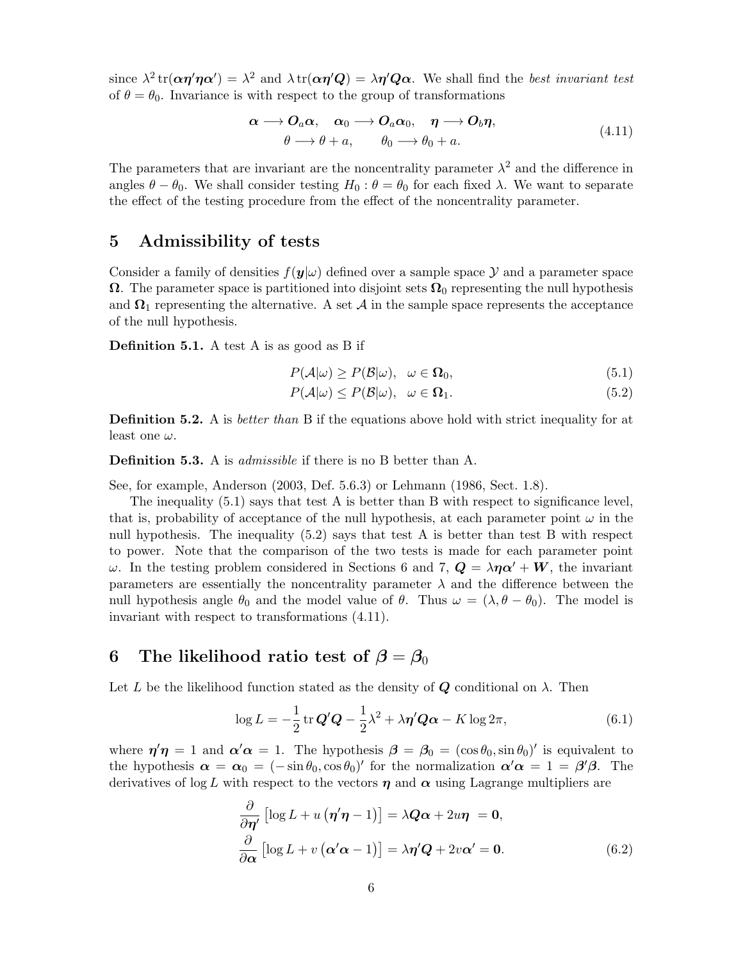since  $\lambda^2 \text{tr}(\alpha \eta' \eta \alpha') = \lambda^2$  and  $\lambda \text{tr}(\alpha \eta' Q) = \lambda \eta' Q \alpha$ . We shall find the best invariant test of  $\theta = \theta_0$ . Invariance is with respect to the group of transformations

$$
\alpha \longrightarrow O_a \alpha, \quad \alpha_0 \longrightarrow O_a \alpha_0, \quad \eta \longrightarrow O_b \eta, \n\theta \longrightarrow \theta + a, \qquad \theta_0 \longrightarrow \theta_0 + a.
$$
\n(4.11)

The parameters that are invariant are the noncentrality parameter  $\lambda^2$  and the difference in angles  $\theta - \theta_0$ . We shall consider testing  $H_0 : \theta = \theta_0$  for each fixed  $\lambda$ . We want to separate the effect of the testing procedure from the effect of the noncentrality parameter.

# 5 Admissibility of tests

Consider a family of densities  $f(\mathbf{y}|\omega)$  defined over a sample space  $\mathcal Y$  and a parameter space  $\Omega$ . The parameter space is partitioned into disjoint sets  $\Omega_0$  representing the null hypothesis and  $\Omega_1$  representing the alternative. A set A in the sample space represents the acceptance of the null hypothesis.

Definition 5.1. A test A is as good as B if

$$
P(\mathcal{A}|\omega) \ge P(\mathcal{B}|\omega), \quad \omega \in \Omega_0,\tag{5.1}
$$

$$
P(\mathcal{A}|\omega) \le P(\mathcal{B}|\omega), \quad \omega \in \Omega_1. \tag{5.2}
$$

**Definition 5.2.** A is *better than* B if the equations above hold with strict inequality for at least one  $\omega$ .

**Definition 5.3.** A is *admissible* if there is no B better than A.

See, for example, Anderson (2003, Def. 5.6.3) or Lehmann (1986, Sect. 1.8).

The inequality  $(5.1)$  says that test A is better than B with respect to significance level, that is, probability of acceptance of the null hypothesis, at each parameter point  $\omega$  in the null hypothesis. The inequality (5.2) says that test A is better than test B with respect to power. Note that the comparison of the two tests is made for each parameter point ω. In the testing problem considered in Sections 6 and 7,  $\mathbf{Q} = \lambda \eta \alpha' + \mathbf{W}$ , the invariant parameters are essentially the noncentrality parameter  $\lambda$  and the difference between the null hypothesis angle  $\theta_0$  and the model value of  $\theta$ . Thus  $\omega = (\lambda, \theta - \theta_0)$ . The model is invariant with respect to transformations (4.11).

# 6 The likelihood ratio test of  $\beta = \beta_0$

Let L be the likelihood function stated as the density of  $Q$  conditional on  $\lambda$ . Then

$$
\log L = -\frac{1}{2} \operatorname{tr} \mathbf{Q}' \mathbf{Q} - \frac{1}{2} \lambda^2 + \lambda \eta' \mathbf{Q} \alpha - K \log 2\pi, \tag{6.1}
$$

where  $\eta' \eta = 1$  and  $\alpha' \alpha = 1$ . The hypothesis  $\beta = \beta_0 = (\cos \theta_0, \sin \theta_0)'$  is equivalent to the hypothesis  $\alpha = \alpha_0 = (-\sin \theta_0, \cos \theta_0)'$  for the normalization  $\alpha' \alpha = 1 = \beta' \beta$ . The derivatives of log L with respect to the vectors  $\eta$  and  $\alpha$  using Lagrange multipliers are

$$
\frac{\partial}{\partial \eta'} \left[ \log L + u \left( \eta' \eta - 1 \right) \right] = \lambda Q \alpha + 2u \eta = 0, \n\frac{\partial}{\partial \alpha} \left[ \log L + v \left( \alpha' \alpha - 1 \right) \right] = \lambda \eta' Q + 2v \alpha' = 0.
$$
\n(6.2)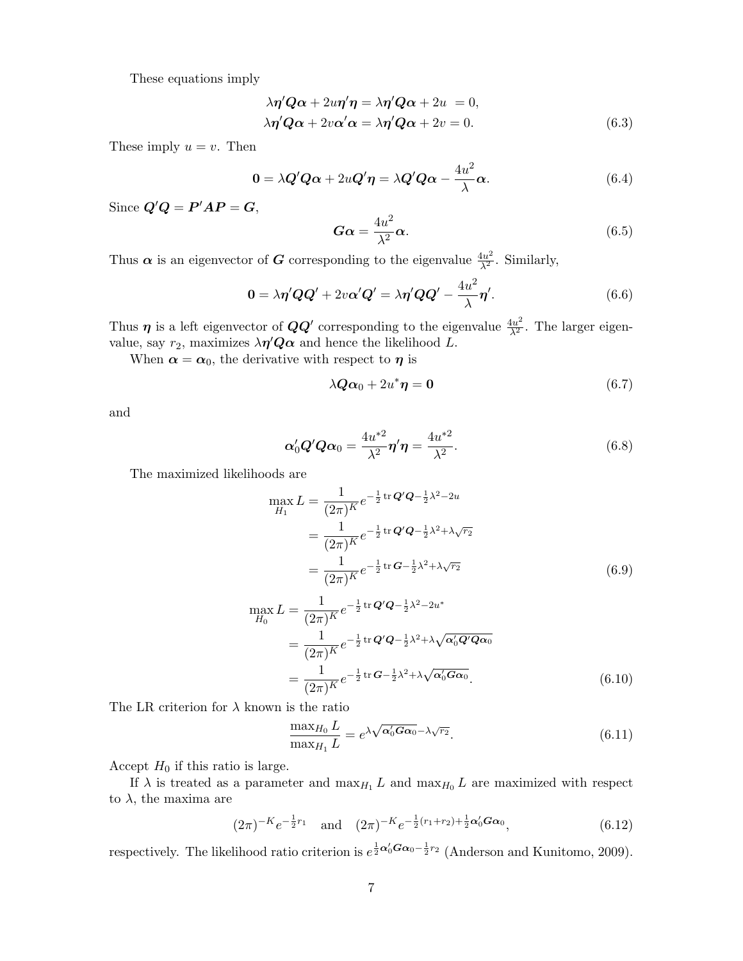These equations imply

$$
\lambda \eta' Q \alpha + 2u \eta' \eta = \lambda \eta' Q \alpha + 2u = 0,
$$
  

$$
\lambda \eta' Q \alpha + 2v \alpha' \alpha = \lambda \eta' Q \alpha + 2v = 0.
$$
 (6.3)

These imply  $u = v$ . Then

$$
0 = \lambda Q'Q\alpha + 2uQ'\eta = \lambda Q'Q\alpha - \frac{4u^2}{\lambda}\alpha.
$$
 (6.4)

Since  $Q'Q = P'AP = G$ ,

$$
G\alpha = \frac{4u^2}{\lambda^2}\alpha.
$$
 (6.5)

Thus  $\alpha$  is an eigenvector of G corresponding to the eigenvalue  $\frac{4u^2}{\lambda^2}$ . Similarly,

$$
0 = \lambda \eta' Q Q' + 2v \alpha' Q' = \lambda \eta' Q Q' - \frac{4u^2}{\lambda} \eta'.
$$
 (6.6)

Thus  $\eta$  is a left eigenvector of  $QQ'$  corresponding to the eigenvalue  $\frac{4u^2}{\lambda^2}$ . The larger eigenvalue, say  $r_2$ , maximizes  $\lambda \eta' Q \alpha$  and hence the likelihood L.

When  $\alpha = \alpha_0$ , the derivative with respect to  $\eta$  is

$$
\lambda Q \alpha_0 + 2u^* \eta = 0 \tag{6.7}
$$

and

$$
\alpha'_0 Q' Q \alpha_0 = \frac{4u^{*2}}{\lambda^2} \eta' \eta = \frac{4u^{*2}}{\lambda^2}.
$$
\n(6.8)

The maximized likelihoods are

$$
\max_{H_1} L = \frac{1}{(2\pi)^K} e^{-\frac{1}{2}\operatorname{tr} \mathbf{Q}'\mathbf{Q} - \frac{1}{2}\lambda^2 - 2u}
$$
  
= 
$$
\frac{1}{(2\pi)^K} e^{-\frac{1}{2}\operatorname{tr} \mathbf{Q}'\mathbf{Q} - \frac{1}{2}\lambda^2 + \lambda\sqrt{r_2}}
$$
  
= 
$$
\frac{1}{(2\pi)^K} e^{-\frac{1}{2}\operatorname{tr} \mathbf{G} - \frac{1}{2}\lambda^2 + \lambda\sqrt{r_2}}
$$
(6.9)

$$
\max_{H_0} L = \frac{1}{(2\pi)^K} e^{-\frac{1}{2}\text{tr}\,\mathbf{Q}'\mathbf{Q} - \frac{1}{2}\lambda^2 - 2u^*} \n= \frac{1}{(2\pi)^K} e^{-\frac{1}{2}\text{tr}\,\mathbf{Q}'\mathbf{Q} - \frac{1}{2}\lambda^2 + \lambda\sqrt{\mathbf{\alpha}'_0\mathbf{Q}'\mathbf{Q}\mathbf{\alpha}_0}} \n= \frac{1}{(2\pi)^K} e^{-\frac{1}{2}\text{tr}\,\mathbf{G} - \frac{1}{2}\lambda^2 + \lambda\sqrt{\mathbf{\alpha}'_0\mathbf{G}\mathbf{\alpha}_0}}.
$$
\n(6.10)

The LR criterion for  $\lambda$  known is the ratio

$$
\frac{\max_{H_0} L}{\max_{H_1} L} = e^{\lambda \sqrt{\alpha'_0 G \alpha_0} - \lambda \sqrt{r_2}}.
$$
\n(6.11)

Accept  $H_0$  if this ratio is large.

If  $\lambda$  is treated as a parameter and  $\max_{H_1} L$  and  $\max_{H_0} L$  are maximized with respect to  $\lambda$ , the maxima are

$$
(2\pi)^{-K}e^{-\frac{1}{2}r_1} \quad \text{and} \quad (2\pi)^{-K}e^{-\frac{1}{2}(r_1+r_2)+\frac{1}{2}\alpha'_0G\alpha_0}, \tag{6.12}
$$

respectively. The likelihood ratio criterion is  $e^{\frac{1}{2}\alpha_0'G_{\alpha_0}-\frac{1}{2}r_2}$  (Anderson and Kunitomo, 2009).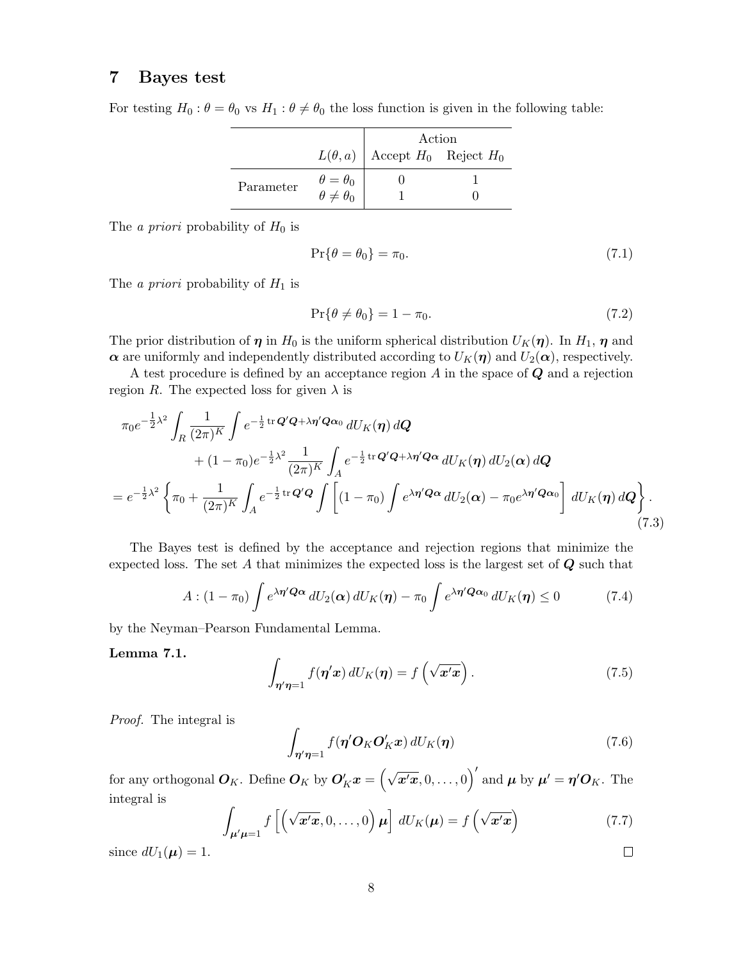# 7 Bayes test

For testing  $H_0: \theta = \theta_0$  vs  $H_1: \theta \neq \theta_0$  the loss function is given in the following table:

|           |                                                                             | Action                                   |  |
|-----------|-----------------------------------------------------------------------------|------------------------------------------|--|
|           |                                                                             | $L(\theta, a)$ Accept $H_0$ Reject $H_0$ |  |
| Parameter | $\begin{aligned} \theta &= \theta_0 \\ \theta &\neq \theta_0 \end{aligned}$ |                                          |  |
|           |                                                                             |                                          |  |

The *a priori* probability of  $H_0$  is

$$
\Pr\{\theta = \theta_0\} = \pi_0. \tag{7.1}
$$

The *a priori* probability of  $H_1$  is

$$
\Pr\{\theta \neq \theta_0\} = 1 - \pi_0. \tag{7.2}
$$

The prior distribution of  $\eta$  in  $H_0$  is the uniform spherical distribution  $U_K(\eta)$ . In  $H_1$ ,  $\eta$  and  $\alpha$  are uniformly and independently distributed according to  $U_K(\eta)$  and  $U_2(\alpha)$ , respectively.

A test procedure is defined by an acceptance region  $A$  in the space of  $\mathbf Q$  and a rejection region R. The expected loss for given  $\lambda$  is

$$
\pi_0 e^{-\frac{1}{2}\lambda^2} \int_R \frac{1}{(2\pi)^K} \int e^{-\frac{1}{2} \text{tr}\,\mathbf{Q}' \mathbf{Q} + \lambda \eta' \mathbf{Q} \alpha_0} \, dU_K(\eta) \, d\mathbf{Q} \n+ (1 - \pi_0) e^{-\frac{1}{2}\lambda^2} \frac{1}{(2\pi)^K} \int_A e^{-\frac{1}{2} \text{tr}\,\mathbf{Q}' \mathbf{Q} + \lambda \eta' \mathbf{Q} \alpha} \, dU_K(\eta) \, dU_2(\alpha) \, d\mathbf{Q} \n= e^{-\frac{1}{2}\lambda^2} \left\{ \pi_0 + \frac{1}{(2\pi)^K} \int_A e^{-\frac{1}{2} \text{tr}\,\mathbf{Q}' \mathbf{Q}} \int \left[ (1 - \pi_0) \int e^{\lambda \eta' \mathbf{Q} \alpha} \, dU_2(\alpha) - \pi_0 e^{\lambda \eta' \mathbf{Q} \alpha_0} \right] \, dU_K(\eta) \, d\mathbf{Q} \right\}.
$$
\n(7.3)

The Bayes test is defined by the acceptance and rejection regions that minimize the expected loss. The set A that minimizes the expected loss is the largest set of  $\bf{Q}$  such that

$$
A: (1 - \pi_0) \int e^{\lambda \eta' \mathbf{Q} \alpha} dU_2(\alpha) dU_K(\eta) - \pi_0 \int e^{\lambda \eta' \mathbf{Q} \alpha_0} dU_K(\eta) \le 0 \tag{7.4}
$$

by the Neyman–Pearson Fundamental Lemma.

#### Lemma 7.1.

$$
\int_{\eta'\eta=1} f(\eta' x) dU_K(\eta) = f\left(\sqrt{x'}x\right). \tag{7.5}
$$

Proof. The integral is

$$
\int_{\eta'\eta=1} f(\eta' \mathcal{O}_K \mathcal{O}'_K \mathbf{x}) dU_K(\eta) \tag{7.6}
$$

for any orthogonal  $\bm{O}_K$ . Define  $\bm{O}_K$  by  $\bm{O}'_K\bm{x} = \left(\sqrt{\bm{x}'\bm{x}}, 0, \ldots, 0\right)'$  and  $\bm{\mu}$  by  $\bm{\mu}' = \bm{\eta}'\bm{O}_K$ . The integral is

$$
\int_{\mu'\mu=1} f\left[\left(\sqrt{\mathbf{x}'\mathbf{x}}, 0, \dots, 0\right) \mu\right] dU_K(\mu) = f\left(\sqrt{\mathbf{x}'\mathbf{x}}\right)
$$
\n(7.7)

since  $dU_1(\mu) = 1$ .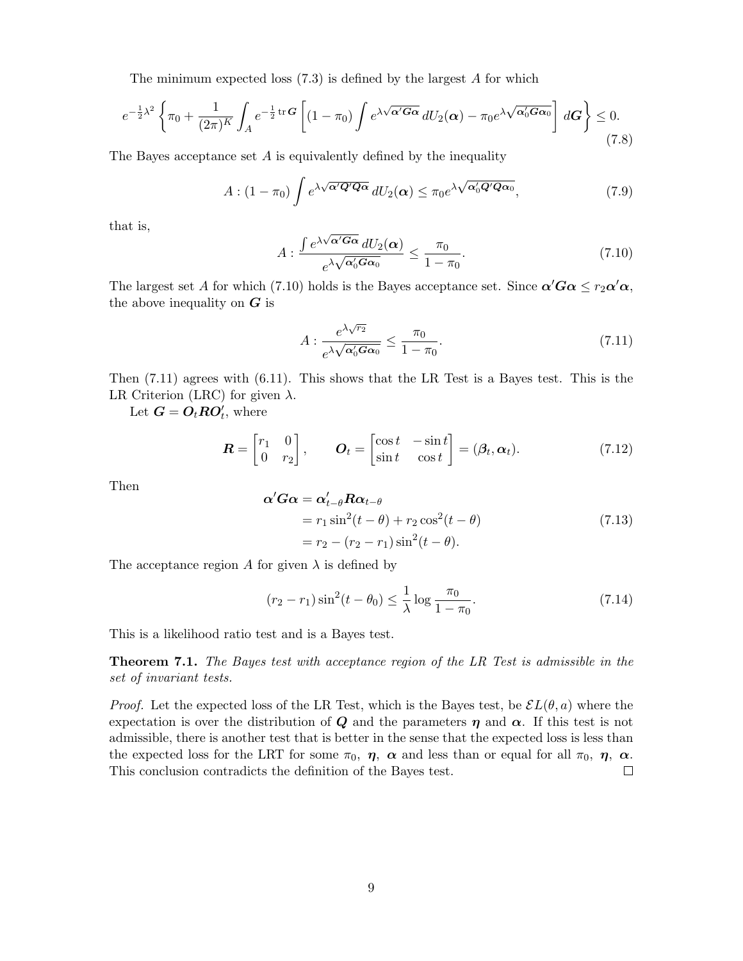The minimum expected loss  $(7.3)$  is defined by the largest A for which

$$
e^{-\frac{1}{2}\lambda^2} \left\{ \pi_0 + \frac{1}{(2\pi)^K} \int_A e^{-\frac{1}{2}\operatorname{tr} \mathbf{G}} \left[ (1 - \pi_0) \int e^{\lambda \sqrt{\mathbf{\alpha}' \mathbf{G} \mathbf{\alpha}}} dU_2(\mathbf{\alpha}) - \pi_0 e^{\lambda \sqrt{\mathbf{\alpha}' \mathbf{G} \mathbf{\alpha}_0}} \right] d\mathbf{G} \right\} \le 0.
$$
\n(7.8)

The Bayes acceptance set  $A$  is equivalently defined by the inequality

$$
A: (1 - \pi_0) \int e^{\lambda \sqrt{\alpha' Q' Q \alpha}} dU_2(\alpha) \le \pi_0 e^{\lambda \sqrt{\alpha'_0 Q' Q \alpha_0}}, \tag{7.9}
$$

that is,

$$
A: \frac{\int e^{\lambda\sqrt{\alpha' G\alpha}} dU_2(\alpha)}{e^{\lambda\sqrt{\alpha'_0 G\alpha_0}}} \le \frac{\pi_0}{1-\pi_0}.
$$
 (7.10)

The largest set A for which (7.10) holds is the Bayes acceptance set. Since  $\alpha'G\alpha \leq r_2\alpha'\alpha$ , the above inequality on  $G$  is

$$
A: \frac{e^{\lambda\sqrt{r_2}}}{e^{\lambda\sqrt{\alpha'_0 G \alpha_0}}} \le \frac{\pi_0}{1 - \pi_0}.
$$
\n(7.11)

Then (7.11) agrees with (6.11). This shows that the LR Test is a Bayes test. This is the LR Criterion (LRC) for given  $\lambda$ .

Let  $\mathbf{G} = \mathbf{O}_t \mathbf{R} \mathbf{O}'_t$ , where

$$
\boldsymbol{R} = \begin{bmatrix} r_1 & 0 \\ 0 & r_2 \end{bmatrix}, \qquad \boldsymbol{O}_t = \begin{bmatrix} \cos t & -\sin t \\ \sin t & \cos t \end{bmatrix} = (\boldsymbol{\beta}_t, \boldsymbol{\alpha}_t). \tag{7.12}
$$

Then

$$
\alpha' G \alpha = \alpha'_{t-\theta} R \alpha_{t-\theta}
$$
  
=  $r_1 \sin^2(t-\theta) + r_2 \cos^2(t-\theta)$   
=  $r_2 - (r_2 - r_1) \sin^2(t-\theta)$ . (7.13)

The acceptance region A for given  $\lambda$  is defined by

$$
(r_2 - r_1)\sin^2(t - \theta_0) \le \frac{1}{\lambda}\log\frac{\pi_0}{1 - \pi_0}.\tag{7.14}
$$

This is a likelihood ratio test and is a Bayes test.

**Theorem 7.1.** The Bayes test with acceptance region of the LR Test is admissible in the set of invariant tests.

*Proof.* Let the expected loss of the LR Test, which is the Bayes test, be  $\mathcal{E}L(\theta, a)$  where the expectation is over the distribution of Q and the parameters  $\eta$  and  $\alpha$ . If this test is not admissible, there is another test that is better in the sense that the expected loss is less than the expected loss for the LRT for some  $\pi_0$ ,  $\eta$ ,  $\alpha$  and less than or equal for all  $\pi_0$ ,  $\eta$ ,  $\alpha$ . This conclusion contradicts the definition of the Bayes test.  $\Box$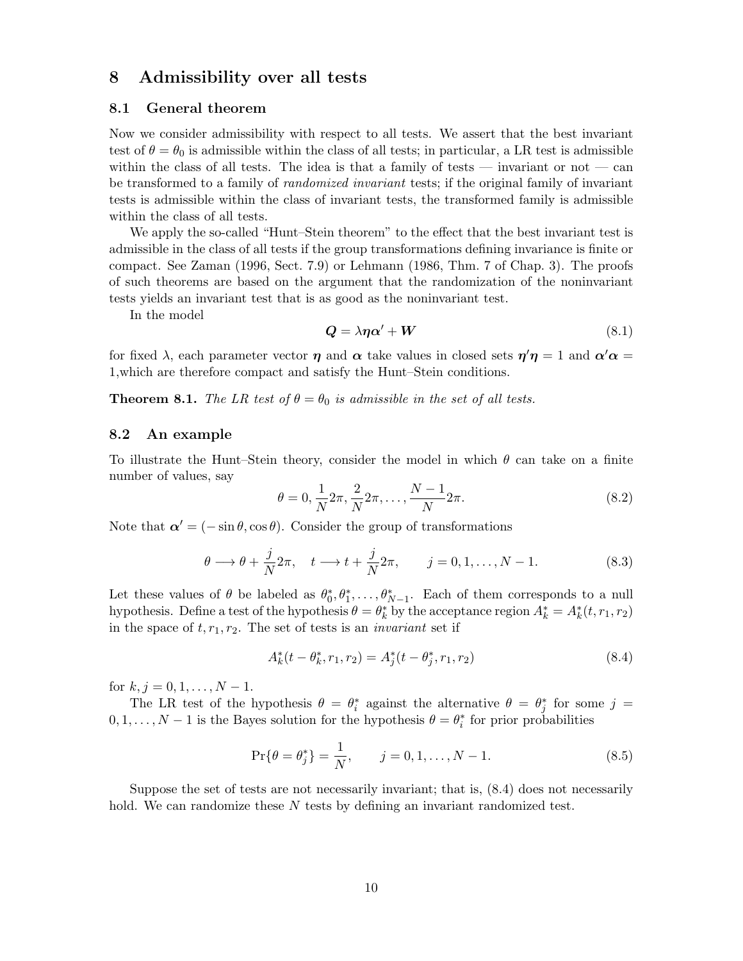# 8 Admissibility over all tests

#### 8.1 General theorem

Now we consider admissibility with respect to all tests. We assert that the best invariant test of  $\theta = \theta_0$  is admissible within the class of all tests; in particular, a LR test is admissible within the class of all tests. The idea is that a family of tests — invariant or not — can be transformed to a family of *randomized invariant* tests; if the original family of invariant tests is admissible within the class of invariant tests, the transformed family is admissible within the class of all tests.

We apply the so-called "Hunt–Stein theorem" to the effect that the best invariant test is admissible in the class of all tests if the group transformations defining invariance is finite or compact. See Zaman (1996, Sect. 7.9) or Lehmann (1986, Thm. 7 of Chap. 3). The proofs of such theorems are based on the argument that the randomization of the noninvariant tests yields an invariant test that is as good as the noninvariant test.

In the model

$$
Q = \lambda \eta \alpha' + W \tag{8.1}
$$

for fixed  $\lambda$ , each parameter vector  $\eta$  and  $\alpha$  take values in closed sets  $\eta'\eta = 1$  and  $\alpha'\alpha =$ 1,which are therefore compact and satisfy the Hunt–Stein conditions.

**Theorem 8.1.** The LR test of  $\theta = \theta_0$  is admissible in the set of all tests.

#### 8.2 An example

To illustrate the Hunt–Stein theory, consider the model in which  $\theta$  can take on a finite number of values, say

$$
\theta = 0, \frac{1}{N} 2\pi, \frac{2}{N} 2\pi, \dots, \frac{N-1}{N} 2\pi.
$$
\n(8.2)

Note that  $\alpha' = (-\sin \theta, \cos \theta)$ . Consider the group of transformations

$$
\theta \longrightarrow \theta + \frac{j}{N} 2\pi, \quad t \longrightarrow t + \frac{j}{N} 2\pi, \qquad j = 0, 1, \dots, N - 1. \tag{8.3}
$$

Let these values of  $\theta$  be labeled as  $\theta_0^*, \theta_1^*, \dots, \theta_{N-1}^*$ . Each of them corresponds to a null hypothesis. Define a test of the hypothesis  $\theta = \theta_k^*$  by the acceptance region  $A_k^* = A_k^*(t, r_1, r_2)$ in the space of  $t, r_1, r_2$ . The set of tests is an *invariant* set if

$$
A_k^*(t - \theta_k^*, r_1, r_2) = A_j^*(t - \theta_j^*, r_1, r_2)
$$
\n(8.4)

for  $k, j = 0, 1, \ldots, N - 1$ .

The LR test of the hypothesis  $\theta = \theta_i^*$  against the alternative  $\theta = \theta_j^*$  for some  $j =$  $0, 1, \ldots, N-1$  is the Bayes solution for the hypothesis  $\theta = \theta_i^*$  for prior probabilities

$$
\Pr\{\theta = \theta_j^*\} = \frac{1}{N}, \qquad j = 0, 1, \dots, N - 1.
$$
\n(8.5)

Suppose the set of tests are not necessarily invariant; that is, (8.4) does not necessarily hold. We can randomize these N tests by defining an invariant randomized test.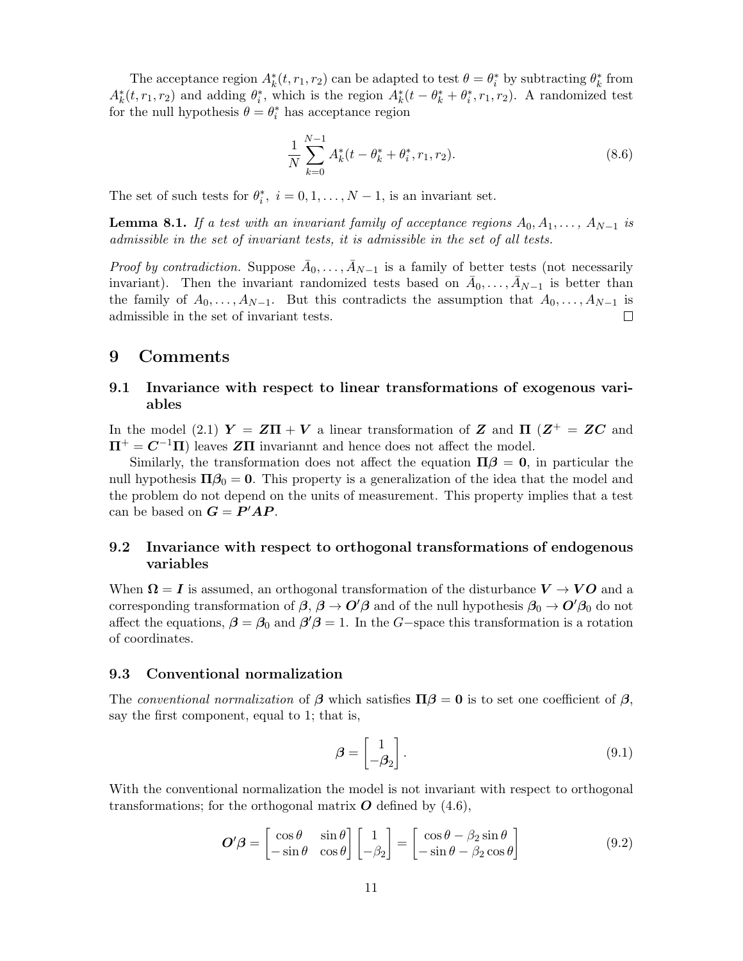The acceptance region  $A_k^*(t, r_1, r_2)$  can be adapted to test  $\theta = \theta_i^*$  by subtracting  $\theta_k^*$  from  $A_k^*(t, r_1, r_2)$  and adding  $\theta_i^*$ , which is the region  $A_k^*(t - \theta_k^* + \theta_i^*, r_1, r_2)$ . A randomized test for the null hypothesis  $\theta = \theta_i^*$  has acceptance region

$$
\frac{1}{N} \sum_{k=0}^{N-1} A_k^*(t - \theta_k^* + \theta_i^*, r_1, r_2).
$$
\n(8.6)

The set of such tests for  $\theta_i^*$ ,  $i = 0, 1, ..., N - 1$ , is an invariant set.

**Lemma 8.1.** If a test with an invariant family of acceptance regions  $A_0, A_1, \ldots, A_{N-1}$  is admissible in the set of invariant tests, it is admissible in the set of all tests.

*Proof by contradiction.* Suppose  $\bar{A}_0, \ldots, \bar{A}_{N-1}$  is a family of better tests (not necessarily invariant). Then the invariant randomized tests based on  $\bar{A}_0, \ldots, \bar{A}_{N-1}$  is better than the family of  $A_0, \ldots, A_{N-1}$ . But this contradicts the assumption that  $A_0, \ldots, A_{N-1}$  is admissible in the set of invariant tests.  $\Box$ 

# 9 Comments

# 9.1 Invariance with respect to linear transformations of exogenous variables

In the model (2.1)  $Y = Z\Pi + V$  a linear transformation of Z and  $\Pi$  ( $Z^+ = ZC$  and  $\Pi^+ = C^{-1}\Pi$  leaves ZII invariannt and hence does not affect the model.

Similarly, the transformation does not affect the equation  $\Pi \beta = 0$ , in particular the null hypothesis  $\Pi \beta_0 = 0$ . This property is a generalization of the idea that the model and the problem do not depend on the units of measurement. This property implies that a test can be based on  $G = P'AP$ .

# 9.2 Invariance with respect to orthogonal transformations of endogenous variables

When  $\Omega = I$  is assumed, an orthogonal transformation of the disturbance  $V \to VO$  and a corresponding transformation of  $\beta$ ,  $\beta \to O'\beta$  and of the null hypothesis  $\beta_0 \to O'\beta_0$  do not affect the equations,  $\beta = \beta_0$  and  $\beta' \beta = 1$ . In the G-space this transformation is a rotation of coordinates.

### 9.3 Conventional normalization

The conventional normalization of  $\beta$  which satisfies  $\Pi \beta = 0$  is to set one coefficient of  $\beta$ , say the first component, equal to 1; that is,

$$
\beta = \begin{bmatrix} 1 \\ -\beta_2 \end{bmatrix} . \tag{9.1}
$$

With the conventional normalization the model is not invariant with respect to orthogonal transformations; for the orthogonal matrix  $\boldsymbol{O}$  defined by (4.6),

$$
\mathbf{O}'\boldsymbol{\beta} = \begin{bmatrix} \cos\theta & \sin\theta \\ -\sin\theta & \cos\theta \end{bmatrix} \begin{bmatrix} 1 \\ -\beta_2 \end{bmatrix} = \begin{bmatrix} \cos\theta - \beta_2\sin\theta \\ -\sin\theta - \beta_2\cos\theta \end{bmatrix}
$$
(9.2)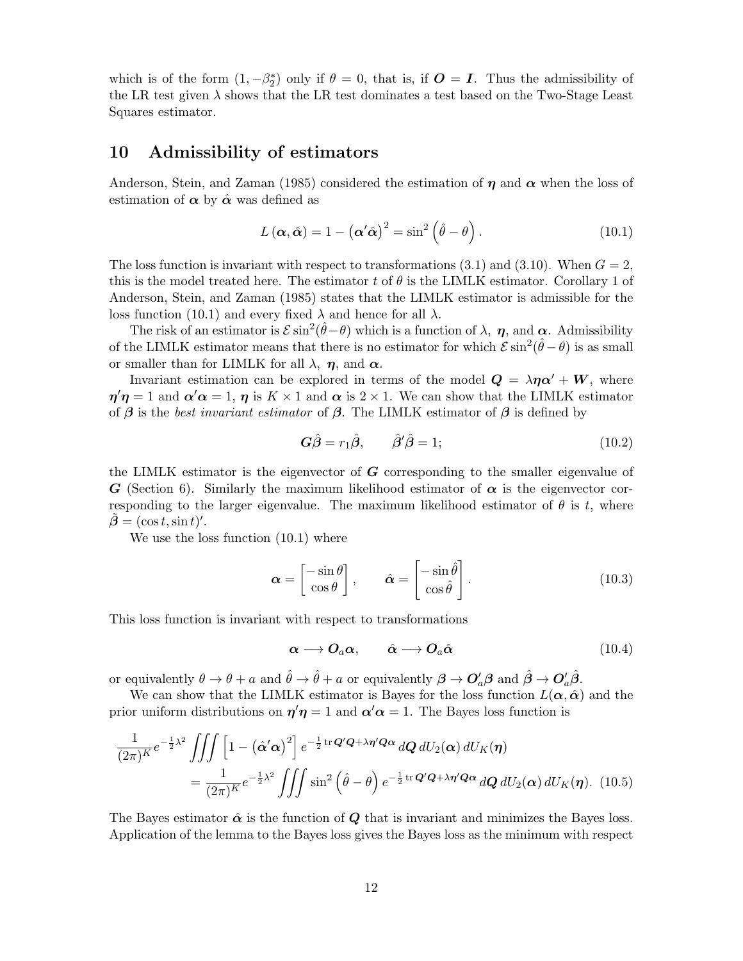which is of the form  $(1, -\beta_2^*)$  only if  $\theta = 0$ , that is, if  $\mathbf{O} = \mathbf{I}$ . Thus the admissibility of the LR test given  $\lambda$  shows that the LR test dominates a test based on the Two-Stage Least Squares estimator.

# 10 Admissibility of estimators

Anderson, Stein, and Zaman (1985) considered the estimation of  $\eta$  and  $\alpha$  when the loss of estimation of  $\alpha$  by  $\hat{\alpha}$  was defined as

$$
L(\alpha, \hat{\alpha}) = 1 - (\alpha' \hat{\alpha})^2 = \sin^2 \left(\hat{\theta} - \theta\right). \tag{10.1}
$$

The loss function is invariant with respect to transformations  $(3.1)$  and  $(3.10)$ . When  $G = 2$ , this is the model treated here. The estimator t of  $\theta$  is the LIMLK estimator. Corollary 1 of Anderson, Stein, and Zaman (1985) states that the LIMLK estimator is admissible for the loss function (10.1) and every fixed  $\lambda$  and hence for all  $\lambda$ .

The risk of an estimator is  $\mathcal{E} \sin^2(\hat{\theta} - \theta)$  which is a function of  $\lambda$ ,  $\eta$ , and  $\alpha$ . Admissibility of the LIMLK estimator means that there is no estimator for which  $\mathcal{E} \sin^2(\hat{\theta} - \theta)$  is as small or smaller than for LIMLK for all  $\lambda$ ,  $\eta$ , and  $\alpha$ .

Invariant estimation can be explored in terms of the model  $\mathbf{Q} = \lambda \eta \alpha' + \mathbf{W}$ , where  $\eta' \eta = 1$  and  $\alpha' \alpha = 1$ ,  $\eta$  is  $K \times 1$  and  $\alpha$  is  $2 \times 1$ . We can show that the LIMLK estimator of  $\beta$  is the best invariant estimator of  $\beta$ . The LIMLK estimator of  $\beta$  is defined by

$$
G\hat{\beta} = r_1\hat{\beta}, \qquad \hat{\beta}'\hat{\beta} = 1; \qquad (10.2)
$$

the LIMLK estimator is the eigenvector of  $G$  corresponding to the smaller eigenvalue of G (Section 6). Similarly the maximum likelihood estimator of  $\alpha$  is the eigenvector corresponding to the larger eigenvalue. The maximum likelihood estimator of  $\theta$  is t, where  $\tilde{\boldsymbol{\beta}} = (\cos t, \sin t)'$ .

We use the loss function  $(10.1)$  where

$$
\boldsymbol{\alpha} = \begin{bmatrix} -\sin\theta \\ \cos\theta \end{bmatrix}, \qquad \hat{\boldsymbol{\alpha}} = \begin{bmatrix} -\sin\hat{\theta} \\ \cos\hat{\theta} \end{bmatrix}.
$$
 (10.3)

This loss function is invariant with respect to transformations

$$
\alpha \longrightarrow O_a \alpha, \qquad \hat{\alpha} \longrightarrow O_a \hat{\alpha} \tag{10.4}
$$

or equivalently  $\theta \to \theta + a$  and  $\hat{\theta} \to \hat{\theta} + a$  or equivalently  $\beta \to O'_a \beta$  and  $\hat{\beta} \to O'_a \hat{\beta}$ .

We can show that the LIMLK estimator is Bayes for the loss function  $L(\alpha, \hat{\alpha})$  and the prior uniform distributions on  $\eta' \eta = 1$  and  $\alpha' \alpha = 1$ . The Bayes loss function is

$$
\frac{1}{(2\pi)^K}e^{-\frac{1}{2}\lambda^2}\iiint \left[1-\left(\hat{\alpha}'\alpha\right)^2\right]e^{-\frac{1}{2}\operatorname{tr}\mathbf{Q}'\mathbf{Q}+\lambda\eta'\mathbf{Q}\alpha}\,d\mathbf{Q}\,dU_2(\alpha)\,dU_K(\boldsymbol{\eta})
$$
\n
$$
=\frac{1}{(2\pi)^K}e^{-\frac{1}{2}\lambda^2}\iiint \sin^2\left(\hat{\theta}-\theta\right)e^{-\frac{1}{2}\operatorname{tr}\mathbf{Q}'\mathbf{Q}+\lambda\eta'\mathbf{Q}\alpha}\,d\mathbf{Q}\,dU_2(\alpha)\,dU_K(\boldsymbol{\eta}).\tag{10.5}
$$

The Bayes estimator  $\hat{\alpha}$  is the function of Q that is invariant and minimizes the Bayes loss. Application of the lemma to the Bayes loss gives the Bayes loss as the minimum with respect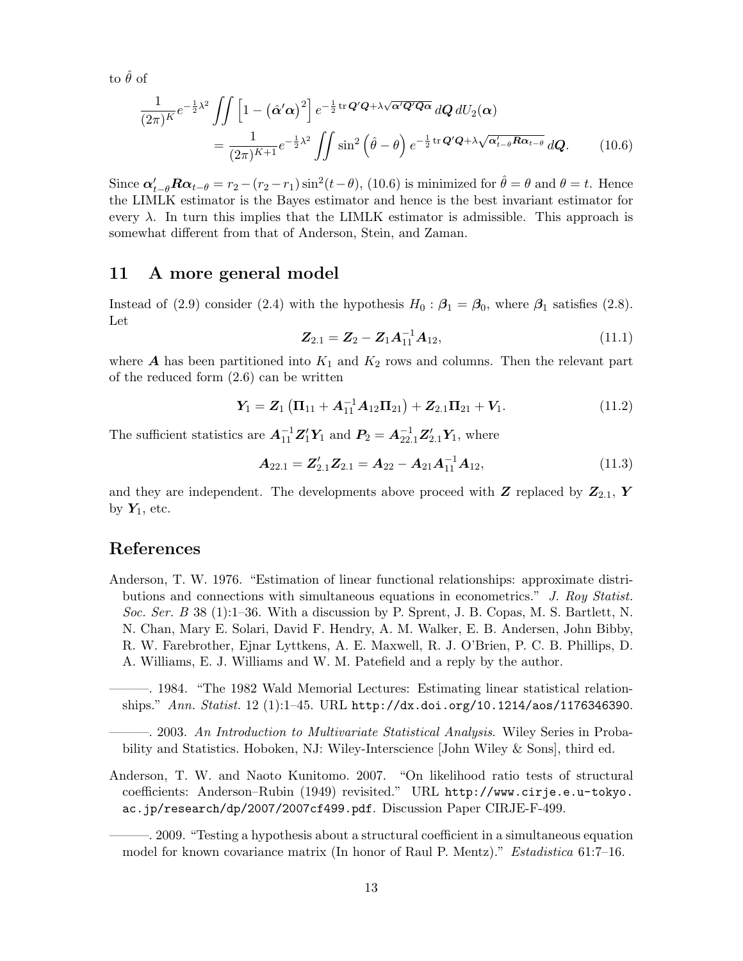to  $\hat{\theta}$  of

$$
\frac{1}{(2\pi)^K}e^{-\frac{1}{2}\lambda^2}\iint \left[1-\left(\hat{\alpha}'\alpha\right)^2\right]e^{-\frac{1}{2}\operatorname{tr}\mathbf{Q}'\mathbf{Q}+\lambda\sqrt{\alpha'\mathbf{Q}'\mathbf{Q}\alpha}}\,d\mathbf{Q}\,dU_2(\alpha)\\
=\frac{1}{(2\pi)^{K+1}}e^{-\frac{1}{2}\lambda^2}\iint \sin^2\left(\hat{\theta}-\theta\right)e^{-\frac{1}{2}\operatorname{tr}\mathbf{Q}'\mathbf{Q}+\lambda\sqrt{\alpha'_{t-\theta}\mathbf{R}\alpha_{t-\theta}}}\,d\mathbf{Q}.\qquad(10.6)
$$

Since  $\alpha'_{t-\theta}R\alpha_{t-\theta} = r_2 - (r_2 - r_1)\sin^2(t-\theta)$ , (10.6) is minimized for  $\hat{\theta} = \theta$  and  $\theta = t$ . Hence the LIMLK estimator is the Bayes estimator and hence is the best invariant estimator for every  $\lambda$ . In turn this implies that the LIMLK estimator is admissible. This approach is somewhat different from that of Anderson, Stein, and Zaman.

# 11 A more general model

Instead of (2.9) consider (2.4) with the hypothesis  $H_0$ :  $\beta_1 = \beta_0$ , where  $\beta_1$  satisfies (2.8). Let

$$
Z_{2.1} = Z_2 - Z_1 A_{11}^{-1} A_{12}, \qquad (11.1)
$$

where  $\boldsymbol{A}$  has been partitioned into  $K_1$  and  $K_2$  rows and columns. Then the relevant part of the reduced form (2.6) can be written

$$
Y_1 = Z_1 (\Pi_{11} + A_{11}^{-1} A_{12} \Pi_{21}) + Z_{2.1} \Pi_{21} + V_1.
$$
 (11.2)

The sufficient statistics are  $A_{11}^{-1}Z_1'Y_1$  and  $P_2 = A_{22.1}^{-1}Z_{2.1}'Y_1$ , where

$$
\mathbf{A}_{22.1} = \mathbf{Z}_{2.1}' \mathbf{Z}_{2.1} = \mathbf{A}_{22} - \mathbf{A}_{21} \mathbf{A}_{11}^{-1} \mathbf{A}_{12},
$$
(11.3)

and they are independent. The developments above proceed with Z replaced by  $\mathbb{Z}_{2,1}$ , Y by  $Y_1$ , etc.

# References

Anderson, T. W. 1976. "Estimation of linear functional relationships: approximate distributions and connections with simultaneous equations in econometrics." J. Roy Statist. Soc. Ser. B 38 (1):1–36. With a discussion by P. Sprent, J. B. Copas, M. S. Bartlett, N. N. Chan, Mary E. Solari, David F. Hendry, A. M. Walker, E. B. Andersen, John Bibby, R. W. Farebrother, Ejnar Lyttkens, A. E. Maxwell, R. J. O'Brien, P. C. B. Phillips, D. A. Williams, E. J. Williams and W. M. Patefield and a reply by the author.

———. 1984. "The 1982 Wald Memorial Lectures: Estimating linear statistical relationships." Ann. Statist. 12 (1):1–45. URL http://dx.doi.org/10.1214/aos/1176346390.

———. 2003. An Introduction to Multivariate Statistical Analysis. Wiley Series in Probability and Statistics. Hoboken, NJ: Wiley-Interscience [John Wiley & Sons], third ed.

Anderson, T. W. and Naoto Kunitomo. 2007. "On likelihood ratio tests of structural coefficients: Anderson–Rubin (1949) revisited." URL http://www.cirje.e.u-tokyo. ac.jp/research/dp/2007/2007cf499.pdf. Discussion Paper CIRJE-F-499.

———. 2009. "Testing a hypothesis about a structural coefficient in a simultaneous equation model for known covariance matrix (In honor of Raul P. Mentz)." Estadistica 61:7–16.